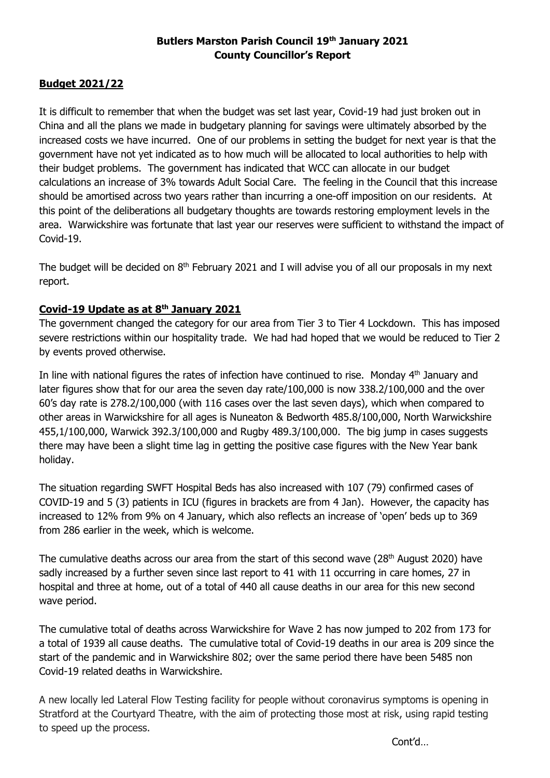# **Butlers Marston Parish Council 19 th January 2021 County Councillor's Report**

# **Budget 2021/22**

It is difficult to remember that when the budget was set last year, Covid-19 had just broken out in China and all the plans we made in budgetary planning for savings were ultimately absorbed by the increased costs we have incurred. One of our problems in setting the budget for next year is that the government have not yet indicated as to how much will be allocated to local authorities to help with their budget problems. The government has indicated that WCC can allocate in our budget calculations an increase of 3% towards Adult Social Care. The feeling in the Council that this increase should be amortised across two years rather than incurring a one-off imposition on our residents. At this point of the deliberations all budgetary thoughts are towards restoring employment levels in the area. Warwickshire was fortunate that last year our reserves were sufficient to withstand the impact of Covid-19.

The budget will be decided on  $8<sup>th</sup>$  February 2021 and I will advise you of all our proposals in my next report.

# **Covid-19 Update as at 8 th January 2021**

The government changed the category for our area from Tier 3 to Tier 4 Lockdown. This has imposed severe restrictions within our hospitality trade. We had had hoped that we would be reduced to Tier 2 by events proved otherwise.

In line with national figures the rates of infection have continued to rise. Monday  $4<sup>th</sup>$  January and later figures show that for our area the seven day rate/100,000 is now 338.2/100,000 and the over 60's day rate is 278.2/100,000 (with 116 cases over the last seven days), which when compared to other areas in Warwickshire for all ages is Nuneaton & Bedworth 485.8/100,000, North Warwickshire 455,1/100,000, Warwick 392.3/100,000 and Rugby 489.3/100,000. The big jump in cases suggests there may have been a slight time lag in getting the positive case figures with the New Year bank holiday.

The situation regarding SWFT Hospital Beds has also increased with 107 (79) confirmed cases of COVID-19 and 5 (3) patients in ICU (figures in brackets are from 4 Jan). However, the capacity has increased to 12% from 9% on 4 January, which also reflects an increase of 'open' beds up to 369 from 286 earlier in the week, which is welcome.

The cumulative deaths across our area from the start of this second wave (28<sup>th</sup> August 2020) have sadly increased by a further seven since last report to 41 with 11 occurring in care homes, 27 in hospital and three at home, out of a total of 440 all cause deaths in our area for this new second wave period.

The cumulative total of deaths across Warwickshire for Wave 2 has now jumped to 202 from 173 for a total of 1939 all cause deaths. The cumulative total of Covid-19 deaths in our area is 209 since the start of the pandemic and in Warwickshire 802; over the same period there have been 5485 non Covid-19 related deaths in Warwickshire.

A new locally led Lateral Flow Testing facility for people without coronavirus symptoms is opening in Stratford at the Courtyard Theatre, with the aim of protecting those most at risk, using rapid testing to speed up the process.

Cont'd…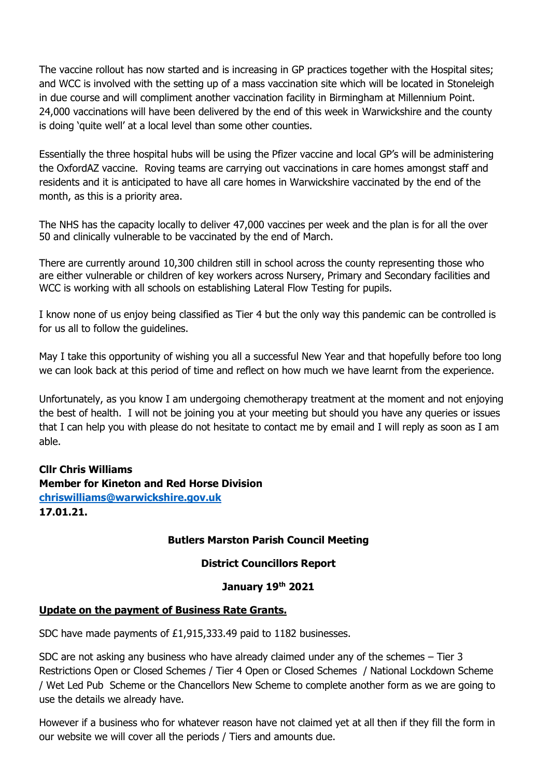The vaccine rollout has now started and is increasing in GP practices together with the Hospital sites; and WCC is involved with the setting up of a mass vaccination site which will be located in Stoneleigh in due course and will compliment another vaccination facility in Birmingham at Millennium Point. 24,000 vaccinations will have been delivered by the end of this week in Warwickshire and the county is doing 'quite well' at a local level than some other counties.

Essentially the three hospital hubs will be using the Pfizer vaccine and local GP's will be administering the OxfordAZ vaccine. Roving teams are carrying out vaccinations in care homes amongst staff and residents and it is anticipated to have all care homes in Warwickshire vaccinated by the end of the month, as this is a priority area.

The NHS has the capacity locally to deliver 47,000 vaccines per week and the plan is for all the over 50 and clinically vulnerable to be vaccinated by the end of March.

There are currently around 10,300 children still in school across the county representing those who are either vulnerable or children of key workers across Nursery, Primary and Secondary facilities and WCC is working with all schools on establishing Lateral Flow Testing for pupils.

I know none of us enjoy being classified as Tier 4 but the only way this pandemic can be controlled is for us all to follow the guidelines.

May I take this opportunity of wishing you all a successful New Year and that hopefully before too long we can look back at this period of time and reflect on how much we have learnt from the experience.

Unfortunately, as you know I am undergoing chemotherapy treatment at the moment and not enjoying the best of health. I will not be joining you at your meeting but should you have any queries or issues that I can help you with please do not hesitate to contact me by email and I will reply as soon as I am able.

# **Cllr Chris Williams Member for Kineton and Red Horse Division [chriswilliams@warwickshire.gov.uk](mailto:chriswilliams@warwickshire.gov.uk) 17.01.21.**

# **Butlers Marston Parish Council Meeting**

# **District Councillors Report**

# **January 19 th 2021**

# **Update on the payment of Business Rate Grants.**

SDC have made payments of £1,915,333.49 paid to 1182 businesses.

SDC are not asking any business who have already claimed under any of the schemes – Tier 3 Restrictions Open or Closed Schemes / Tier 4 Open or Closed Schemes / National Lockdown Scheme / Wet Led Pub Scheme or the Chancellors New Scheme to complete another form as we are going to use the details we already have.

However if a business who for whatever reason have not claimed yet at all then if they fill the form in our website we will cover all the periods / Tiers and amounts due.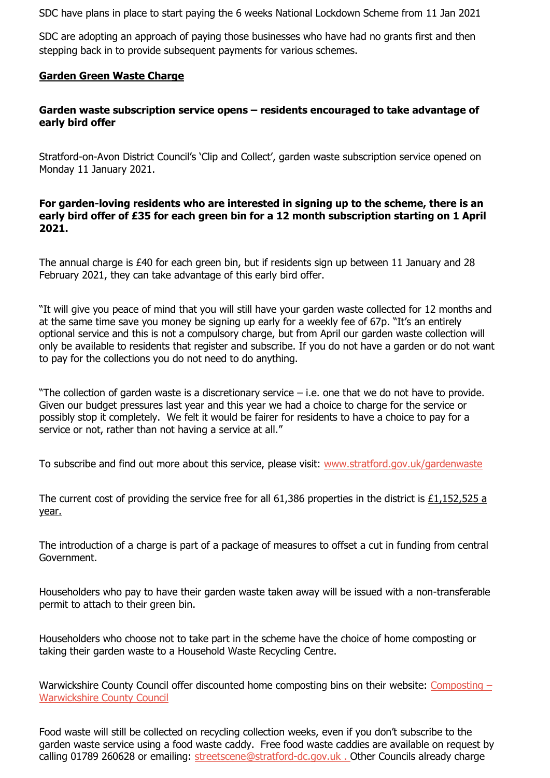SDC have plans in place to start paying the 6 weeks National Lockdown Scheme from 11 Jan 2021

SDC are adopting an approach of paying those businesses who have had no grants first and then stepping back in to provide subsequent payments for various schemes.

# **Garden Green Waste Charge**

# **Garden waste subscription service opens – residents encouraged to take advantage of early bird offer**

Stratford-on-Avon District Council's 'Clip and Collect', garden waste subscription service opened on Monday 11 January 2021.

### **For garden-loving residents who are interested in signing up to the scheme, there is an early bird offer of £35 for each green bin for a 12 month subscription starting on 1 April 2021.**

The annual charge is £40 for each green bin, but if residents sign up between 11 January and 28 February 2021, they can take advantage of this early bird offer.

"It will give you peace of mind that you will still have your garden waste collected for 12 months and at the same time save you money be signing up early for a weekly fee of 67p. "It's an entirely optional service and this is not a compulsory charge, but from April our garden waste collection will only be available to residents that register and subscribe. If you do not have a garden or do not want to pay for the collections you do not need to do anything.

"The collection of garden waste is a discretionary service – i.e. one that we do not have to provide. Given our budget pressures last year and this year we had a choice to charge for the service or possibly stop it completely. We felt it would be fairer for residents to have a choice to pay for a service or not, rather than not having a service at all."

To subscribe and find out more about this service, please visit: [www.stratford.gov.uk/gardenwaste](http://www.stratford.gov.uk/gardenwaste)

The current cost of providing the service free for all 61,386 properties in the district is £1,152,525 a year.

The introduction of a charge is part of a package of measures to offset a cut in funding from central Government.

Householders who pay to have their garden waste taken away will be issued with a non-transferable permit to attach to their green bin.

Householders who choose not to take part in the scheme have the choice of home composting or taking their garden waste to a Household Waste Recycling Centre.

Warwickshire County Council offer discounted home composting bins on their website: [Composting](https://www.warwickshire.gov.uk/composting) – [Warwickshire County Council](https://www.warwickshire.gov.uk/composting)

Food waste will still be collected on recycling collection weeks, even if you don't subscribe to the garden waste service using a food waste caddy. Free food waste caddies are available on request by calling 01789 260628 or emailing: [streetscene@stratford-dc.gov.uk](mailto:streetscene@stratford-dc.gov.uk) . Other Councils already charge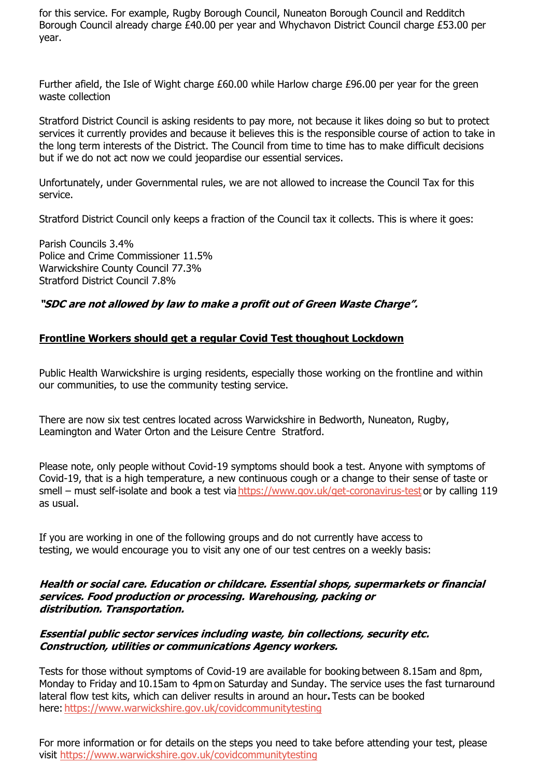for this service. For example, Rugby Borough Council, Nuneaton Borough Council and Redditch Borough Council already charge £40.00 per year and Whychavon District Council charge £53.00 per year.

Further afield, the Isle of Wight charge £60.00 while Harlow charge £96.00 per year for the green waste collection

Stratford District Council is asking residents to pay more, not because it likes doing so but to protect services it currently provides and because it believes this is the responsible course of action to take in the long term interests of the District. The Council from time to time has to make difficult decisions but if we do not act now we could jeopardise our essential services.

Unfortunately, under Governmental rules, we are not allowed to increase the Council Tax for this service.

Stratford District Council only keeps a fraction of the Council tax it collects. This is where it goes:

Parish Councils 3.4% Police and Crime Commissioner 11.5% Warwickshire County Council 77.3% Stratford District Council 7.8%

# **"SDC are not allowed by law to make a profit out of Green Waste Charge".**

# **Frontline Workers should get a regular Covid Test thoughout Lockdown**

Public Health Warwickshire is urging residents, especially those working on the frontline and within our communities, to use the community testing service.

There are now six test centres located across Warwickshire in Bedworth, Nuneaton, Rugby, Leamington and Water Orton and the Leisure Centre Stratford.

Please note, only people without Covid-19 symptoms should book a test. Anyone with symptoms of Covid-19, that is a high temperature, a new continuous cough or a change to their sense of taste or smell – must self-isolate and book a test via <https://www.gov.uk/get-coronavirus-test> or by calling 119 as usual.

If you are working in one of the following groups and do not currently have access to testing, we would encourage you to visit any one of our test centres on a weekly basis:

#### **Health or social care. Education or childcare. Essential shops, supermarkets or financial services. Food production or processing. Warehousing, packing or distribution. Transportation.**

#### **Essential public sector services including waste, bin collections, security etc. Construction, utilities or communications Agency workers.**

Tests for those without symptoms of Covid-19 are available for booking between 8.15am and 8pm, Monday to Friday and 10.15am to 4pm on Saturday and Sunday. The service uses the fast turnaround lateral flow test kits, which can deliver results in around an hour**.**Tests can be booked here: <https://www.warwickshire.gov.uk/covidcommunitytesting>

For more information or for details on the steps you need to take before attending your test, please visit <https://www.warwickshire.gov.uk/covidcommunitytesting>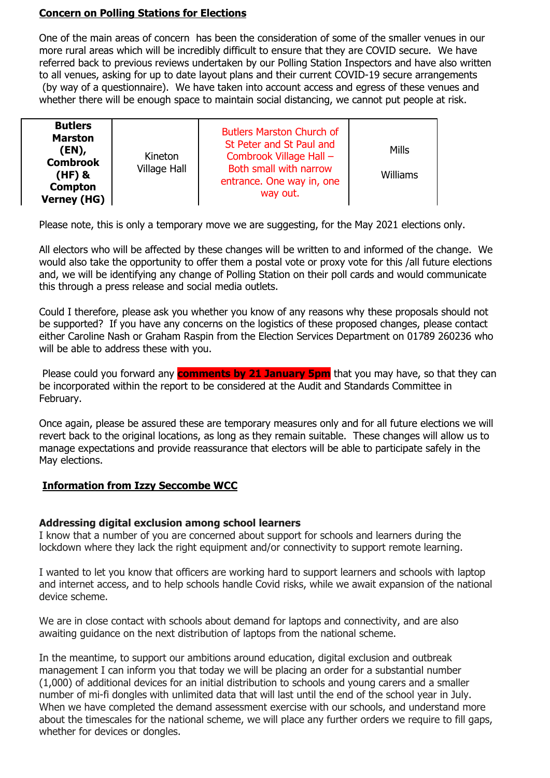#### **Concern on Polling Stations for Elections**

One of the main areas of concern has been the consideration of some of the smaller venues in our more rural areas which will be incredibly difficult to ensure that they are COVID secure. We have referred back to previous reviews undertaken by our Polling Station Inspectors and have also written to all venues, asking for up to date layout plans and their current COVID-19 secure arrangements (by way of a questionnaire). We have taken into account access and egress of these venues and whether there will be enough space to maintain social distancing, we cannot put people at risk.

Please note, this is only a temporary move we are suggesting, for the May 2021 elections only.

All electors who will be affected by these changes will be written to and informed of the change. We would also take the opportunity to offer them a postal vote or proxy vote for this /all future elections and, we will be identifying any change of Polling Station on their poll cards and would communicate this through a press release and social media outlets.

Could I therefore, please ask you whether you know of any reasons why these proposals should not be supported? If you have any concerns on the logistics of these proposed changes, please contact either Caroline Nash or Graham Raspin from the Election Services Department on 01789 260236 who will be able to address these with you.

Please could you forward any **comments by 21 January 5pm** that you may have, so that they can be incorporated within the report to be considered at the Audit and Standards Committee in February.

Once again, please be assured these are temporary measures only and for all future elections we will revert back to the original locations, as long as they remain suitable. These changes will allow us to manage expectations and provide reassurance that electors will be able to participate safely in the May elections.

# **Information from Izzy Seccombe WCC**

# **Addressing digital exclusion among school learners**

I know that a number of you are concerned about support for schools and learners during the lockdown where they lack the right equipment and/or connectivity to support remote learning.

I wanted to let you know that officers are working hard to support learners and schools with laptop and internet access, and to help schools handle Covid risks, while we await expansion of the national device scheme.

We are in close contact with schools about demand for laptops and connectivity, and are also awaiting guidance on the next distribution of laptops from the national scheme.

In the meantime, to support our ambitions around education, digital exclusion and outbreak management I can inform you that today we will be placing an order for a substantial number (1,000) of additional devices for an initial distribution to schools and young carers and a smaller number of mi-fi dongles with unlimited data that will last until the end of the school year in July. When we have completed the demand assessment exercise with our schools, and understand more about the timescales for the national scheme, we will place any further orders we require to fill gaps, whether for devices or dongles.